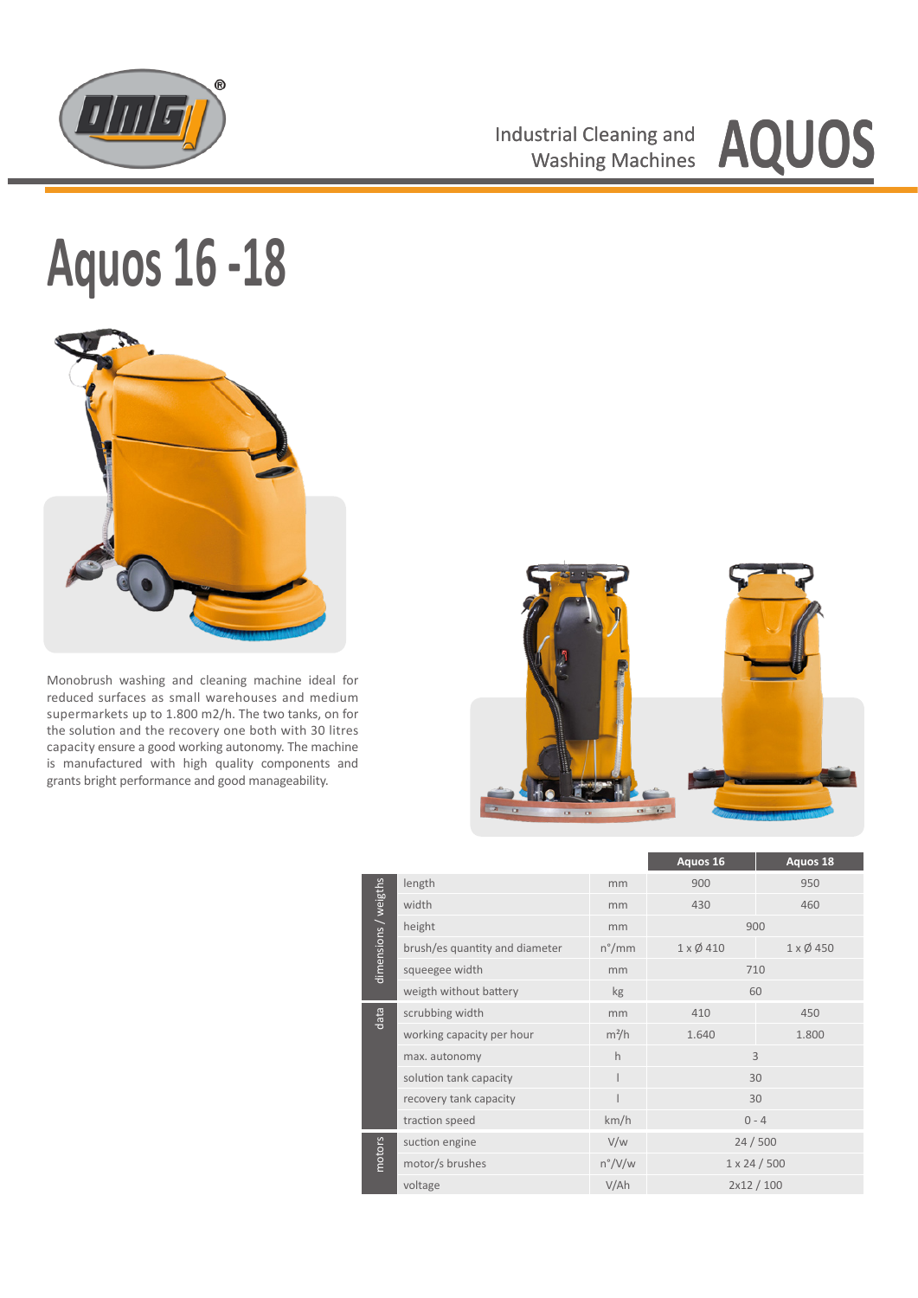

Industrial Cleaning and **AQUOS** 

## **Aquos 16 -18**



Monobrush washing and cleaning machine ideal for reduced surfaces as small warehouses and medium supermarkets up to 1.800 m2/h. The two tanks, on for the solution and the recovery one both with 30 litres capacity ensure a good working autonomy. The machine is manufactured with high quality components and grants bright performance and good manageability.



|                      |                                |                 | Aquos 16                 | Aquos 18                 |  |
|----------------------|--------------------------------|-----------------|--------------------------|--------------------------|--|
| dimensions / weigths | length                         | mm              | 900                      | 950                      |  |
|                      | width                          | mm              | 430                      | 460                      |  |
|                      | height                         | mm              | 900                      |                          |  |
|                      | brush/es quantity and diameter | $n^{\circ}/mm$  | $1 \times \emptyset$ 410 | $1 \times \emptyset$ 450 |  |
|                      | squeegee width                 | mm              | 710                      |                          |  |
|                      | weigth without battery         | kg              | 60                       |                          |  |
| data                 | scrubbing width                | mm              | 410                      | 450                      |  |
|                      | working capacity per hour      | $m^2/h$         | 1.640                    | 1.800                    |  |
|                      | max. autonomy                  | h               | $\overline{3}$           |                          |  |
|                      | solution tank capacity         |                 | 30                       |                          |  |
|                      | recovery tank capacity         |                 | 30                       |                          |  |
|                      | traction speed                 | km/h            | $0 - 4$                  |                          |  |
| motors               | suction engine                 | V/w             | 24/500                   |                          |  |
|                      | motor/s brushes                | $n^{\circ}/V/w$ | $1 \times 24 / 500$      |                          |  |
|                      | voltage                        | V/Ah            | 2x12 / 100               |                          |  |